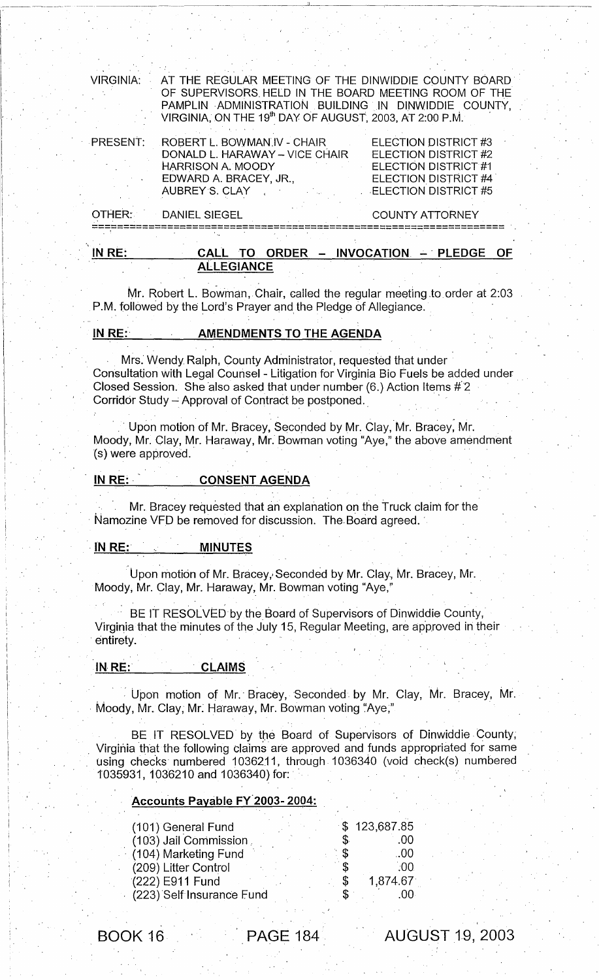|                                     | VIRGINIA: AT THE REGULAR MEETING OF THE DINWIDDIE COUNTY BOARD<br>OF SUPERVISORS HELD IN THE BOARD MEETING ROOM OF THE<br>PAMPLIN ADMINISTRATION BUILDING IN DINWIDDIE COUNTY,<br>VIRGINIA, ON THE 19 <sup>th</sup> DAY OF AUGUST, 2003, AT 2:00 P.M.                                                |                                                                                                                                    |
|-------------------------------------|------------------------------------------------------------------------------------------------------------------------------------------------------------------------------------------------------------------------------------------------------------------------------------------------------|------------------------------------------------------------------------------------------------------------------------------------|
| PRESENT:<br>ta politika<br>Politika | ROBERT L. BOWMAN IV - CHAIR<br>DONALD L. HARAWAY - VICE CHAIR<br>HARRISON A. MOODY<br>EDWARD A. BRACEY, JR.,<br><b>AUBREY S. CLAY</b><br>$\label{eq:2} \mathcal{L}^{\text{max}}(\mathcal{L}^{\text{max}}_{\text{max}},\mathcal{L}^{\text{max}}_{\text{max}},\mathcal{L}^{\text{max}}_{\text{max}}))$ | ELECTION DISTRICT #3<br>ELECTION DISTRICT #2<br>ELECTION DISTRICT #1<br><b>ELECTION DISTRICT #4</b><br><b>ELECTION DISTRICT #5</b> |

OTHER: DANIEL SIEGEL COUNTY ATTORNEY

AUGUST 19, 2003

## IN RE: CALL TO ORDER - INVOCATION - PLEDGE OF ALLEGIANCE

==================================================================

Mr. Robert L. Bowman, Chair, called the regular meeting to order at 2:03 P.M. followed by the Lord's Prayer and the Pledge of Allegiance.

## IN RE: AMENDMENTS TO THE AGENDA

" ,

, Mrs: Wendy Ralph, County Administrator, requested that under Consultation with Legal Counsel - Litigation for Virginia Bio Fuels be added under Closed Session. She also asked that under number (6.) Action Items  $#2$ Corridor Study - Approval of Contract be postponed.

Upon motion of Mr. Bracey, Seconded by Mr. Clay, Mr. Bracey, Mr. Moody, Mr. Clay, Mr. Haraway, Mr. Bowman voting "Aye," the above amendment (s) were approved.'

## IN RE: CONSENT AGENDA

Mr. Bracey requested that an explanation on the Truck claim for the Namozine VFD be removed for discussion. The Board agreed.

### IN RE: MINUTES

Upon motion of Mr. Bracey,' Seconded by Mr. Clay., Mr. Bracey, Mr. Moody, Mr. Clay, Mr. Haraway, Mr. Bowman voting "Aye,"

BE IT RESOLVED by the Board of Supervisors of Dinwiddie County, Virginia that the minutes of the July 15, Regular Meeting, are approved in their entirety.

### IN RE: CLAIMS

: Upon motion of Mr.' Bracey, Seconded, by Mr. Clay, Mr. Bracey, Mr. Moody, Mr. Clay, Mr. Haraway, Mr. Bowman voting "Aye,"

BE IT RESOLVED by the Board of Supervisors of Dinwiddie County, Virginia that the following claims are approved and funds appropriated for same using checks' numbered 1036211, through, 1036340 (void check(s) numbered 1035931, 1036210 and 1036340) for:

### Accounts Payable FY 2003- 2004:

BOOK 16 PAGE 184

| (101) General Fund        |  |  |     | \$123,687.85 |  |
|---------------------------|--|--|-----|--------------|--|
| (103) Jail Commission     |  |  |     | .00          |  |
| (104) Marketing Fund      |  |  | -96 | .00.         |  |
| (209) Litter Control      |  |  |     | :00.         |  |
| (222) E911 Fund           |  |  |     | 1,874.67     |  |
| (223) Self Insurance Fund |  |  |     |              |  |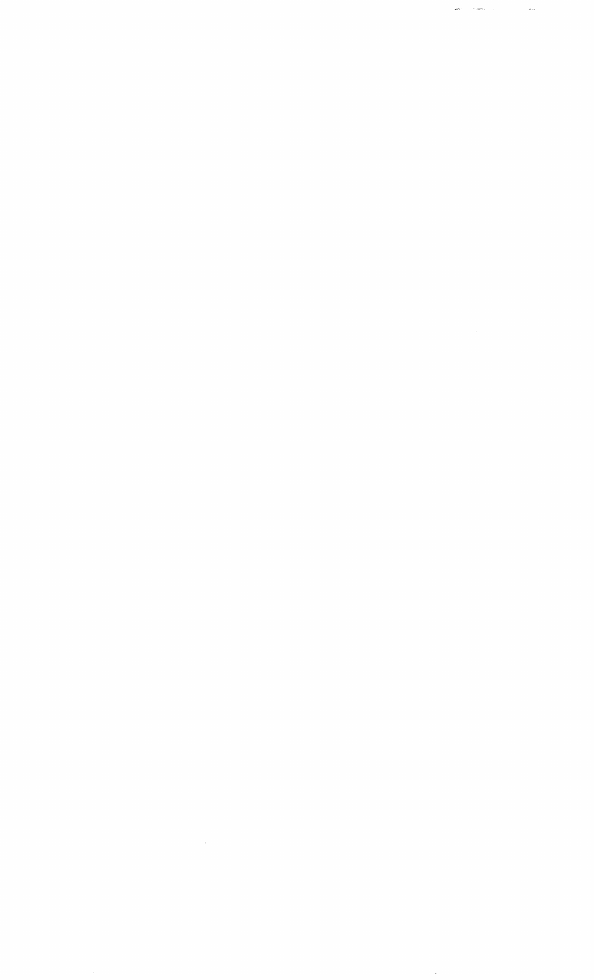$\frac{1}{\sqrt{2}}\left( \frac{1}{\sqrt{2}}\right)$  , where unici.

 $\mathcal{A}_{\mathcal{A}}$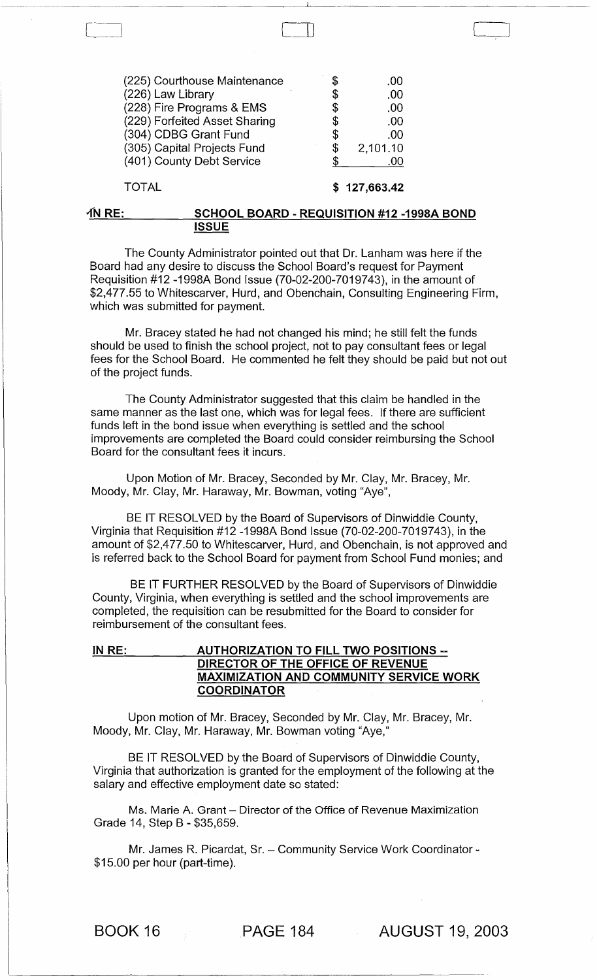| (225) Courthouse Maintenance  | \$<br>.00      |
|-------------------------------|----------------|
| (226) Law Library             | \$<br>.00      |
| (228) Fire Programs & EMS     | \$<br>.00      |
| (229) Forfeited Asset Sharing | \$<br>.00      |
| (304) CDBG Grant Fund         | \$<br>.00      |
| (305) Capital Projects Fund   | \$<br>2,101.10 |
| (401) County Debt Service     |                |
|                               |                |

 $\sqrt{2}$ 

TOTAL \$ 127,663.42

 $\rfloor$ 

### 1N RE: SCHOOL BOARD - REQUISITION #12 -1998A BOND ISSUE

The County Administrator pointed out that Dr. Lanham was here if the Board had any desire to discuss the School Board's request for Payment Requisition #12 -1998A Bond Issue (70-02-200-7019743), in the amount of \$2,477.55 to Whitescarver, Hurd, and Obenchain, Consulting Engineering Firm, which was submitted for payment.

Mr. Bracey stated he had not changed his mind; he still felt the funds should be used to finish the school project, not to pay consultant fees or legal fees for the School Board. He commented he felt they should be paid but not out of the project funds.

The County Administrator suggested that this claim be handled in the same manner as the last one, which was for legal fees. If there are sufficient funds left in the bond issue when everything is settled and the school improvements are completed the Board could consider reimbursing the School Board for the consultant fees it incurs.

Upon Motion of Mr. Bracey, Seconded by Mr. Clay, Mr. Bracey, Mr. Moody, Mr. Clay, Mr. Haraway, Mr. Bowman, voting "Aye",

BE IT RESOLVED by the Board of Supervisors of Dinwiddie County, Virginia that Requisition #12 -1998A Bond Issue (70-02-200-7019743), in the amount of \$2,477.50 to Whitescarver, Hurd, and Obenchain, is not approved and is referred back to the School Board for payment from School Fund monies; and

BE IT FURTHER RESOLVED by the Board of Supervisors of Dinwiddie County, Virginia, when everything is settled and the school improvements are completed, the requisition can be resubmitted for the Board to consider for reimbursement of the consultant fees.

## IN RE: AUTHORIZATION TO FILL TWO POSITIONS --DIRECTOR OF THE OFFICE OF REVENUE MAXIMIZATION AND COMMUNITY SERVICE WORK **COORDINATOR**

Upon motion of Mr. Bracey, Seconded by Mr. Clay, Mr. Bracey, Mr. Moody, Mr. Clay, Mr. Haraway, Mr. Bowman voting "Aye,"

BE IT RESOLVED by the Board of Supervisors of Dinwiddie County, Virginia that authorization is granted for the employment of the following at the salary and effective employment date so stated:

Ms. Marie A. Grant - Director of the Office of Revenue Maximization Grade 14, Step B - \$35,659.

Mr. James R. Picardat, Sr. - Community Service Work Coordinator -\$15.00 per hour (part-time).

BOOK 16 PAGE 184 AUGUST 19, 2003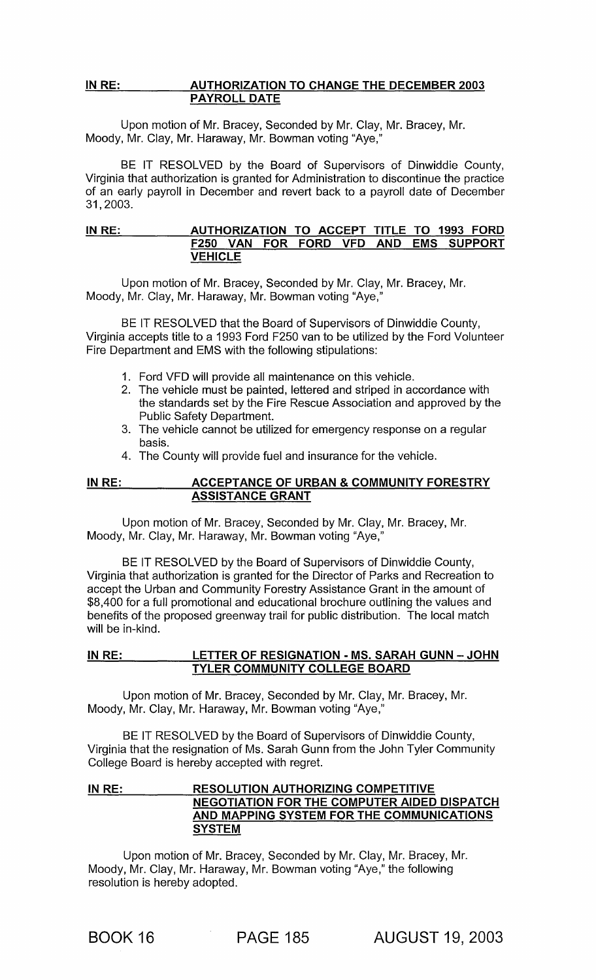## IN RE: AUTHORIZATION TO CHANGE THE DECEMBER 2003 PAYROLL DATE

Upon motion of Mr. Bracey, Seconded by Mr. Clay, Mr. Bracey, Mr. Moody, Mr. Clay, Mr. Haraway, Mr. Bowman voting "Aye,"

BE IT RESOLVED by the Board of Supervisors of Dinwiddie County, Virginia that authorization is granted for Administration to discontinue the practice of an early payroll in December and revert back to a payroll date of December 31,2003.

## INRE: AUTHORIZATION TO ACCEPT TITLE TO 1993 FORD F250 VAN FOR FORD VFD AND EMS SUPPORT VEHICLE

Upon motion of Mr. Bracey, Seconded by Mr. Clay, Mr. Bracey, Mr. Moody, Mr. Clay, Mr. Haraway, Mr. Bowman voting "Aye,"

BE IT RESOLVED that the Board of Supervisors of Dinwiddie County, Virginia accepts title to a 1993 Ford F250 van to be utilized by the Ford Volunteer Fire Department and EMS with the following stipulations:

- 1. Ford VFD will provide all maintenance on this vehicle.
- 2. The vehicle must be painted, lettered and striped in accordance with the standards set by the Fire Rescue Association and approved by the Public Safety Department.
- 3. The vehicle cannot be utilized for emergency response on a regular basis.
- 4. The County will provide fuel and insurance for the vehicle.

### IN RE: ACCEPTANCE OF URBAN & COMMUNITY FORESTRY ASSISTANCE GRANT

Upon motion of Mr. Bracey, Seconded by Mr. Clay, Mr. Bracey, Mr. Moody, Mr. Clay, Mr. Haraway, Mr. Bowman voting "Aye,"

BE IT RESOLVED by the Board of Supervisors of Dinwiddie County, Virginia that authorization is granted for the Director of Parks and Recreation to accept the Urban and Community Forestry Assistance Grant in the amount of \$8,400 for a full promotional and educational brochure outlining the values and benefits of the proposed greenway trail for public distribution. The local match will be in-kind.

IN RE: LETTER OF RESIGNATION - MS. SARAH GUNN - JOHN TYLER COMMUNITY COLLEGE BOARD

Upon motion of Mr. Bracey, Seconded by Mr. Clay, Mr. Bracey, Mr. Moody, Mr. Clay, Mr. Haraway, Mr. Bowman voting "Aye,"

BE IT RESOLVED by the Board of Supervisors of Dinwiddie County, Virginia that the resignation of Ms. Sarah Gunn from the John Tyler Community College Board is hereby accepted with regret.

## IN RE: RESOLUTION AUTHORIZING COMPETITIVE NEGOTIATION FOR THE COMPUTER AIDED DISPATCH AND MAPPING SYSTEM FOR THE COMMUNICATIONS SYSTEM

Upon motion of Mr. Bracey, Seconded by Mr. Clay, Mr. Bracey, Mr. Moody, Mr. Clay, Mr. Haraway, Mr. Bowman voting "Aye," the following resolution is hereby adopted.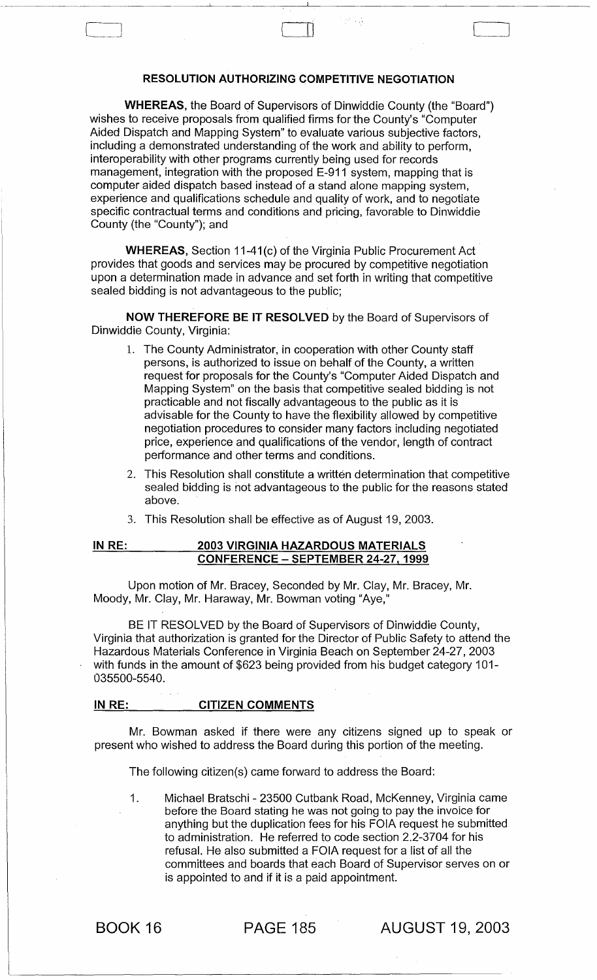## **RESOLUTION AUTHORIZING COMPETITIVE NEGOTIATION**

A.

 $\bigcup$ 

 $\Box$ 

**WHEREAS,** the Board of Supervisors of Dinwiddie County (the "Board") wishes to receive proposals from qualified firms for the County's "Computer Aided Dispatch and Mapping System" to evaluate various subjective factors, including a demonstrated understanding of the work and ability to perform, interoperability with other programs currently being used for records management, integration with the proposed E-911 system, mapping that is computer aided dispatch based instead of a stand alone mapping system, experience and qualifications schedule and quality of work, and to negotiate specific contractual terms and conditions and pricing, favorable to Dinwiddie County (the "County"); and

**WHEREAS,** Section 11-41 (c) of the Virginia Public Procurement Act provides that goods and services may be procured by competitive negotiation upon a determination made in advance and set forth in writing that competitive sealed bidding is not advantageous to the public;

**NOW THEREFORE BE IT RESOLVED** by the Board of Supervisors of Dinwiddie County, Virginia:

- 1. The County Administrator, in cooperation with other County staff persons, is authorized to issue on behalf of the County, a written request for proposals for the County's "Computer Aided Dispatch and Mapping System" on the basis that competitive sealed bidding is not practicable and not fiscally advantageous to the public as it is advisable for the County to have the flexibility allowed by competitive negotiation procedures to consider many factors including negotiated price, experience and qualifications of the vendor, length of contract performance and other terms and conditions.
- 2. This Resolution shall constitute a written determination that competitive sealed bidding is not advantageous to the public for the reasons stated above.
- 3. This Resolution shall be effective as of August 19, 2003.

### **IN RE: 2003 VIRGINIA HAZARDOUS MATERIALS CONFERENCE - SEPTEMBER 24-27,1999**

Upon motion of Mr. Bracey, Seconded by Mr. Clay, Mr. Bracey, Mr. Moody, Mr. Clay, Mr. Haraway, Mr. Bowman voting "Aye,"

BE IT RESOLVED by the Board of Supervisors of Dinwiddie County, Virginia that authorization is granted for the Director of Public Safety to attend the Hazardous Materials Conference in Virginia Beach on September 24-27, 2003 with funds in the amount of \$623 being provided from his budget category 101- 035500-5540.

### **IN RE: CITIZEN COMMENTS**

Mr. Bowman asked if there were any citizens signed up to speak or present who wished to address the Board during this portion of the meeting.

The following citizen(s) came forward to address the Board:

1. Michael Bratschi - 23500 Cutbank Road, McKenney, Virginia came before the Board stating he was not going to pay the invoice for anything but the duplication fees for his FOIA request he submitted to administration. He referred to code section 2.2-3704 for his refusal. He also submitted a FOIA request for a list of all the committees and boards that each Board of Supervisor serves on or is appointed to and if it is a paid appointment.

BOOK 16 **PAGE** 185 **AUGUST** 19, 2003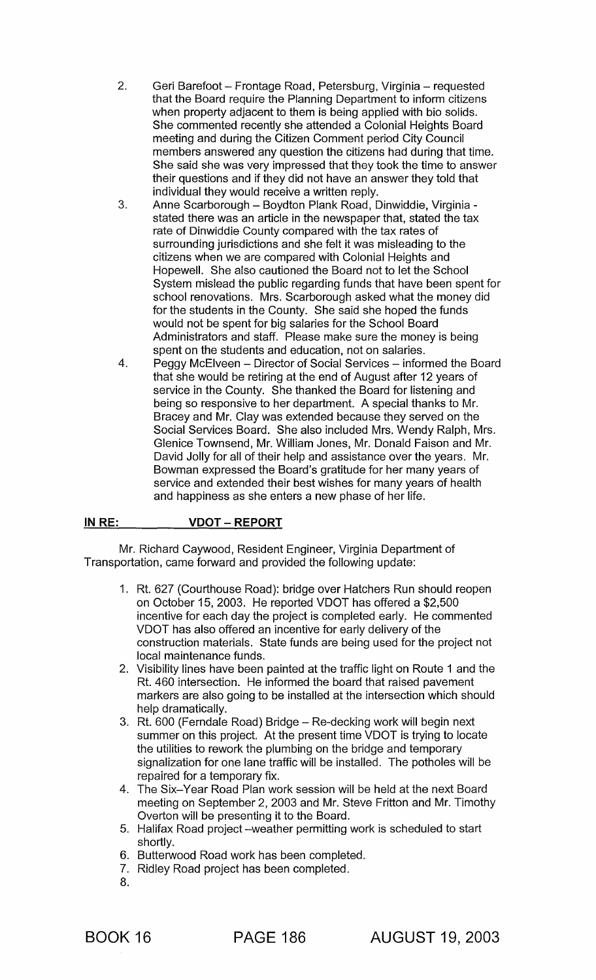- 2. Geri Barefoot - Frontage Road, Petersburg, Virginia - requested that the Board require the Planning Department to inform citizens when property adjacent to them is being applied with bio solids. She commented recently she attended a Colonial Heights Board meeting and during the Citizen Comment period City Council members answered any question the citizens had during that time. She said she was very impressed that they took the time to answer their questions and if they did not have an answer they told that individual they would receive a written reply.
- 3. Anne Scarborough - Boydton Plank Road, Dinwiddie, Virginia stated there was an article in the newspaper that, stated the tax rate of Dinwiddie County compared with the tax rates of surrounding jurisdictions and she felt it was misleading to the citizens when we are compared with Colonial Heights and Hopewell. She also cautioned the Board not to let the School System mislead the public regarding funds that have been spent for school renovations. Mrs. Scarborough asked what the money did for the students in the County. She said she hoped the funds would not be spent for big salaries for the School Board Administrators and staff. Please make sure the money is being spent on the students and education, not on salaries.
- 4. Peggy McElveen - Director of Social Services - informed the Board that she would be retiring at the end of August after 12 years of service in the County. She thanked the Board for listening and being so responsive to her department. A special thanks to Mr. Bracey and Mr. Clay was extended because they served on the Social Services Board. She also included Mrs. Wendy Ralph, Mrs. Glenice Townsend, Mr. William Jones, Mr. Donald Faison and Mr. David Jolly for all of their help and assistance over the years. Mr. Bowman expressed the Board's gratitude for her many years of service and extended their best wishes for many years of health and happiness as she enters a new phase of her life.

#### **IN** RE: **VDOT - REPORT**

Mr. Richard Caywood, Resident Engineer, Virginia Department of Transportation, came forward and provided the following update:

- 1. Rt. 627 (Courthouse Road): bridge over Hatchers Run should reopen on October 15, 2003. He reported VDOT has offered a \$2,500 incentive for each day the project is completed early. He commented VDOT has also offered an incentive for early delivery of the construction materials. State funds are being used for the project not local maintenance funds.
- 2. Visibility lines have been painted at the traffic light on Route 1 and the Rt. 460 intersection. He informed the board that raised pavement markers are also going to be installed at the intersection which should help dramatically.
- 3. Rt. 600 (Ferndale Road) Bridge Re-decking work will begin next summer on this project. At the present time VDOT is trying to locate the utilities to rework the plumbing on the bridge and temporary signalization for one lane traffic will be installed. The potholes will be repaired for a temporary fix.
- 4. The Six-Year Road Plan work session will be held at the next Board meeting on September 2, 2003 and Mr. Steve Fritton and Mr. Timothy Overton will be presenting it to the Board.
- 5. Halifax Road project -weather permitting work is scheduled to start shortly.
- 6. Butterwood Road work has been completed.
- 7. Ridley Road project has been completed.
- 8.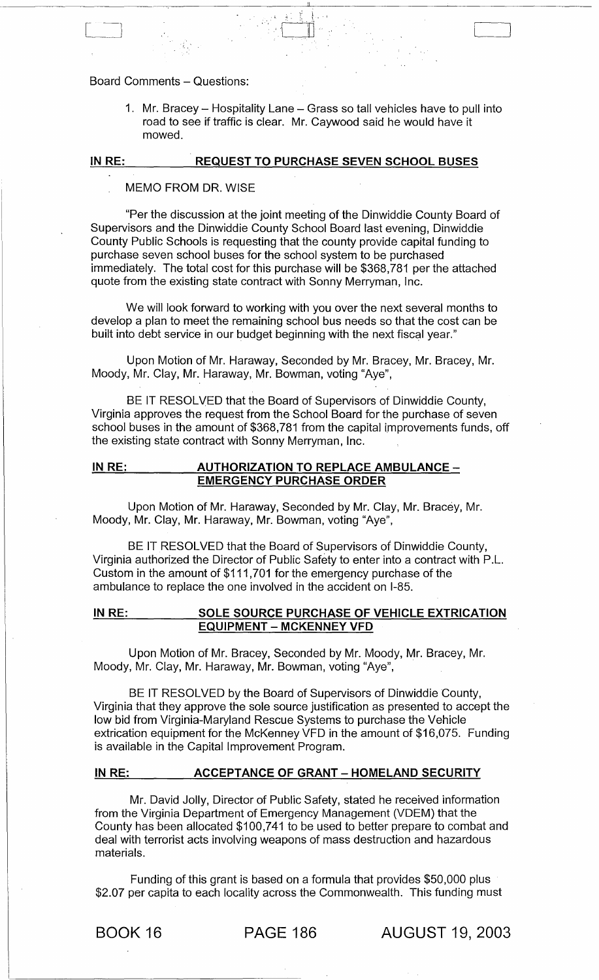Board Comments - Questions:

[ -] , ' :!, <sup>T</sup>~ .. I "',[11 ' ; "

1. Mr. Bracey - Hospitality Lane - Grass so tall vehicles have to pull into road to see if traffic is clear. Mr. Caywood said he would have it mowed.

 $\bigcup$ 

IN RE: REQUEST TO PURCHASE SEVEN SCHOOL BUSES

### MEMO FROM DR. WISE

"Per the discussion at the joint meeting of the Dinwiddie County Board of Supervisors and the Dinwiddie County School Board last evening, Dinwiddie County Public Schools is requesting that the county provide capital funding to purchase seven school buses for the school system to be purchased immediately. The total cost for this purchase will be \$368,781 per the attached quote from the existing state contract with Sonny Merryman, Inc.

We will look forward to working with you over the next several months to develop a plan to meet the remaining school bus needs so that the cost can be built into debt service in our budget beginning with the next fiscal year."

Upon Motion of Mr. Haraway, Seconded by Mr. Bracey, Mr. Bracey, Mr. Moody, Mr. Clay, Mr. Haraway, Mr. Bowman, voting "Aye",

BE IT RESOLVED that the Board of Supervisors of Dinwiddie County, Virginia approves the request from the School Board for the purchase of seven school buses in the amount of \$368,781 from the capital improvements funds, off the existing state contract with Sonny Merryman, Inc.

### IN RE: \_\_\_\_\_\_\_\_\_\_\_ AUTHORIZATION TO REPLACE AMBULANCE -EMERGENCY PURCHASE ORDER

Upon Motion of Mr. Haraway, Seconded by Mr. Clay, Mr. Bracey, Mr. Moody, Mr. Clay, Mr. Haraway, Mr. Bowman, voting "Aye",

BE IT RESOLVED that the Board of Supervisors of Dinwiddie County, Virginia authorized the Director of Public Safety to enter into a contract with P.L. Custom in the amount of \$111 ,701 for the emergency purchase of the ambulance to replace the one involved in the accident on 1-85.

## IN RE: SOLE SOURCE PURCHASE OF VEHICLE EXTRICATION EQUIPMENT - MCKENNEY VFD

Upon Motion of Mr. Bracey, Seconded by Mr. Moody, Mr. Bracey, Mr. Moody, Mr. Clay, Mr. Haraway, Mr. Bowman, voting "Aye",

BE IT RESOLVED by the Board of Supervisors of Dinwiddie County, Virginia that they approve the sole source justification as presented to accept the low bid from Virginia-Maryland Rescue Systems to purchase the Vehicle extrication equipment for the McKenney VFD in the amount of \$16,075. Funding is available in the Capital Improvement Program.

### IN RE: ACCEPTANCE OF GRANT - HOMELAND SECURITY

Mr. David Jolly, Director of Public Safety, stated he received information from the Virginia Department of Emergency Management (VDEM) that the County has been allocated \$100,741 to be used to better prepare to combat and deal with terrorist acts involving weapons of mass destruction and hazardous materials.

Funding of this grant is based on a formula that provides \$50,000 plus \$2.07 per capita to each locality across the Commonwealth. This funding must

BOOK 16 PAGE 186 AUGUST 19, 2003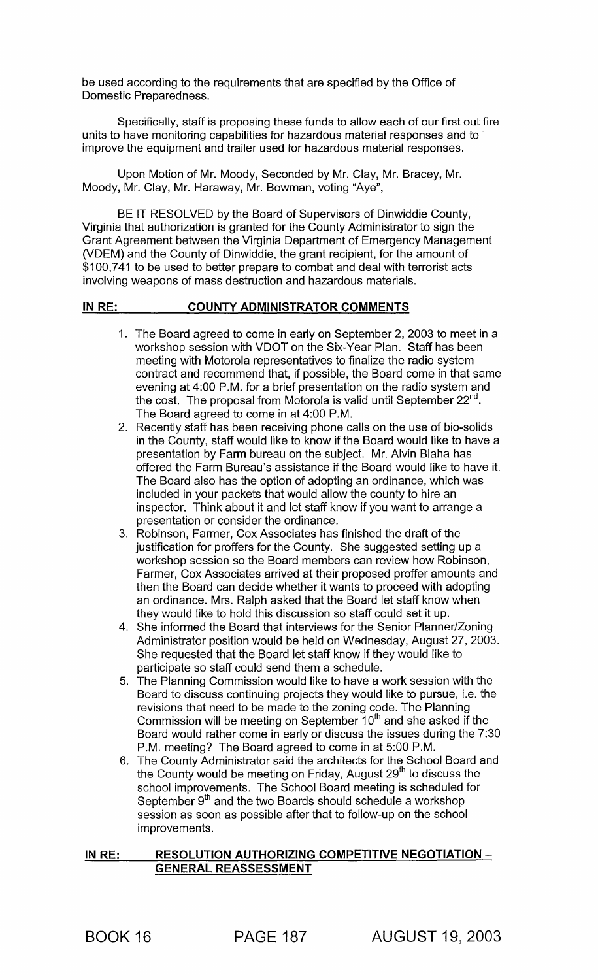be used according to the requirements that are specified by the Office of Domestic Preparedness.

Specifically, staff is proposing these funds to allow each of our first out fire units to have monitoring capabilities for hazardous material responses and to improve the equipment and trailer used for hazardous material responses.

Upon Motion of Mr. Moody, Seconded by Mr. Clay, Mr. Bracey, Mr. Moody, Mr. Clay, Mr. Haraway, Mr. Bowman, voting "Aye",

BE IT RESOLVED by the Board of Supervisors of Dinwiddie County, Virginia that authorization is granted for the County Administrator to sign the Grant Agreement between the Virginia Department of Emergency Management (VDEM) and the County of Dinwiddie, the grant recipient, for the amount of \$100,741 to be used to better prepare to combat and deal with terrorist acts involving weapons of mass destruction and hazardous materials.

# IN RE: COUNTY ADMINISTRATOR COMMENTS

- 1. The Board agreed to come in early on September 2, 2003 to meet in a workshop session with VDOT on the Six-Year Plan. Staff has been meeting with Motorola representatives to finalize the radio system contract and recommend that, if possible, the Board come in that same evening at 4:00 P.M. for a brief presentation on the radio system and the cost. The proposal from Motorola is valid until September  $22^{nd}$ . The Board agreed to come in at 4:00 P.M.
- 2. Recently staff has been receiving phone calls on the use of bio-solids in the County, staff would like to know if the Board would like to have a presentation by Farm bureau on the subject. Mr. Alvin Blaha has offered the Farm Bureau's assistance if the Board would like to have it. The Board also has the option of adopting an ordinance, which was included in your packets that would allow the county to hire an inspector. Think about it and let staff know if you want to arrange a presentation or consider the ordinance.
- 3. Robinson, Farmer, Cox Associates has finished the draft of the justification for proffers for the County. She suggested setting up a workshop session so the Board members can review how Robinson, Farmer, Cox Associates arrived at their proposed proffer amounts and then the Board can decide whether it wants to proceed with adopting an ordinance. Mrs. Ralph asked that the Board let staff know when they would like to hold this discussion so staff could set it up.
- 4. She informed the Board that interviews for the Senior Planner/Zoning Administrator position would be held on Wednesday, August 27,2003. She requested that the Board let staff know if they would like to participate so staff could send them a schedule.
- 5. The Planning Commission would like to have a work session with the Board to discuss continuing projects they would like to pursue, i.e. the revisions that need to be made to the zoning code. The Planning Commission will be meeting on September  $10<sup>th</sup>$  and she asked if the Board would rather come in early or discuss the issues during the 7:30 P.M. meeting? The Board agreed to come in at 5:00 P.M.
- 6. The County Administrator said the architects for the School Board and the County would be meeting on Friday, August 29<sup>th</sup> to discuss the school improvements. The School Board meeting is scheduled for September  $9<sup>th</sup>$  and the two Boards should schedule a workshop session as soon as possible after that to follow-up on the school improvements.

## IN RE: RESOLUTION AUTHORIZING COMPETITIVE NEGOTIATION -GENERAL REASSESSMENT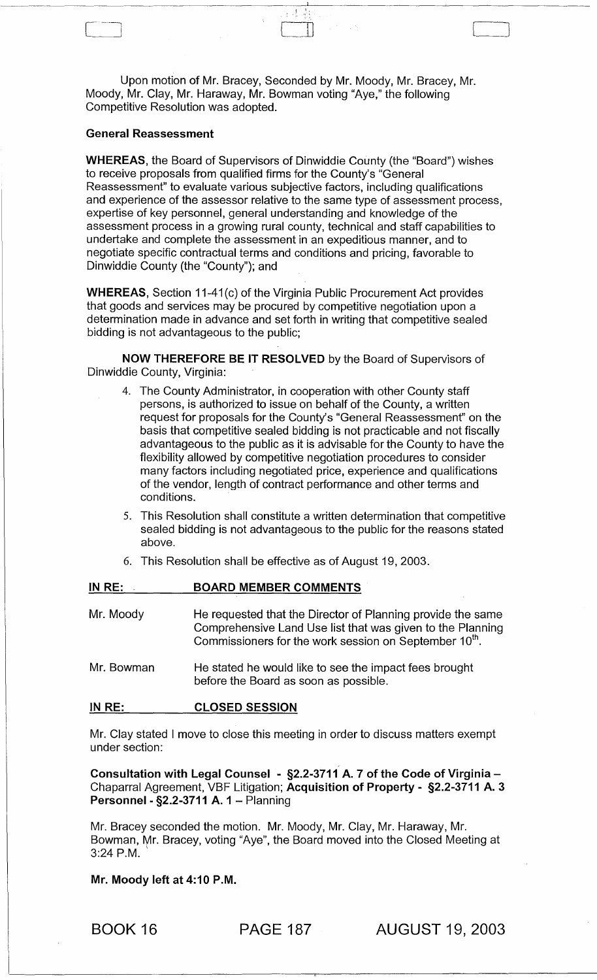Upon motion of Mr. Bracey, Seconded by Mr. Moody, Mr. Bracey, Mr. Moody, Mr. Clay, Mr. Haraway, Mr. Bowman voting "Aye," the following Competitive Resolution was adopted.

 $\bigcup$ 

## General Reassessment

[--] [ <sup>D</sup>

--------

WHEREAS, the Board of Supervisors of Dinwiddie County (the "Board") wishes to receive proposals from qualified firms for the County's "General Reassessment" to evaluate various subjective factors, including qualifications and experience of the assessor relative to the same type of assessment process, expertise of key personnel, general understanding and knowledge of the assessment process in a growing rural county, technical and staff capabilities to undertake and complete the assessment in an expeditious manner, and to negotiate specific contractual terms and conditions and pricing, favorable to Dinwiddie County (the "County"); and

WHEREAS, Section 11-41(c) of the Virginia Public Procurement Act provides that goods and services may be procured by competitive negotiation upon a determination made in advance and set forth in writing that competitive sealed bidding is not advantageous to the public;

NOW THEREFORE BE IT RESOLVED by the Board of Supervisors of Dinwiddie County, Virginia:

- 4. The County Administrator, in cooperation with other County staff persons, is authorized to issue on behalf of the County, a written request for proposals for the County's "General Reassessment" on the basis that competitive sealed bidding is not practicable and not fiscally advantageous to the public as it is advisable for the County to have the flexibility allowed by competitive negotiation procedures to consider many factors including negotiated price, experience and qualifications of the vendor, length of contract performance and other terms and conditions.
- 5. This Resolution shall constitute a written determination that competitive sealed bidding is not advantageous to the public for the reasons stated above.
- 6. This Resolution shall be effective as of August 19, 2003.

#### IN RE: BOARD MEMBER COMMENTS

| Mr. Moody | He requested that the Director of Planning provide the same        |
|-----------|--------------------------------------------------------------------|
|           | Comprehensive Land Use list that was given to the Planning         |
|           | Commissioners for the work session on September 10 <sup>th</sup> . |
|           |                                                                    |

Mr. Bowman He stated he would like to see the impact fees brought before the Board as soon as possible.

#### IN RE: CLOSED SESSION

Mr. Clay stated I move to close this meeting in order to discuss matters exempt under section:

Consultation with Legal Counsel - §2.2-3711 A. 7 of the Code of Virginia - Chaparral Agreement, VBF Litigation; Acquisition of Property - §2.2-3711 A. 3 Personnel - §2.2-3711 A. 1 - Planning

Mr. Bracey seconded the motion. Mr. Moody, Mr. Clay, Mr. Haraway, Mr. Bowman, Mr. Bracey, voting "Aye", the Board moved into the Closed Meeting at \ 3:24 P.M.

Mr. Moody left at 4:10 P.M.

BOOK 16 PAGE 187 AUGUST 19, 2003